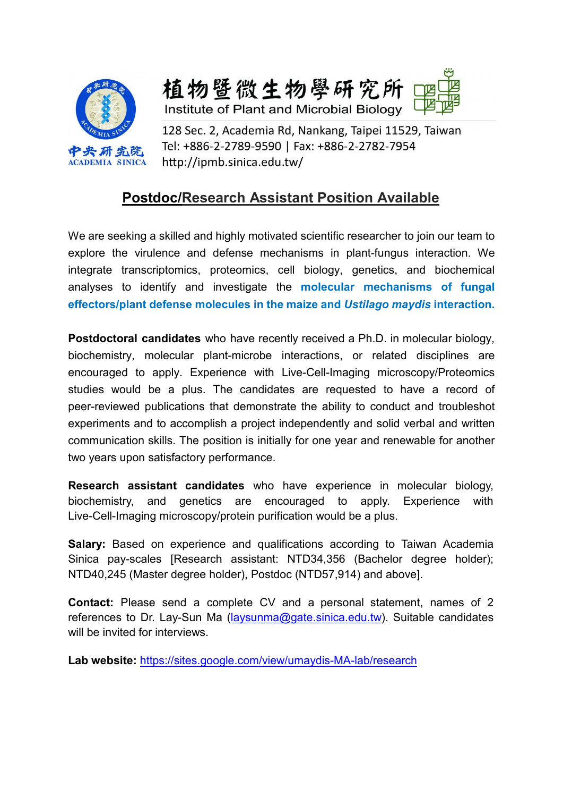

植物暨微生物學研究所 Institute of Plant and Microbial Biology

128 Sec. 2, Academia Rd, Nankang, Taipei 11529, Taiwan Tel: +886-2-2789-9590 | Fax: +886-2-2782-7954 http://ipmb.sinica.edu.tw/

# **Postdoc/Research Assistant Position Available**

We are seeking a skilled and highly motivated scientific researcher to join our team to explore the virulence and defense mechanisms in plant-fungus interaction. We integrate transcriptomics, proteomics, cell biology, genetics, and biochemical analyses to identify and investigate the **molecular mechanisms of fungal effectors/plant defense molecules in the maize and** *Ustilago maydis* **interaction.**

**Postdoctoral candidates** who have recently received a Ph.D. in molecular biology, biochemistry, molecular plant-microbe interactions, or related disciplines are encouraged to apply. Experience with Live-Cell-Imaging microscopy/Proteomics studies would be a plus. The candidates are requested to have a record of peer-reviewed publications that demonstrate the ability to conduct and troubleshot experiments and to accomplish a project independently and solid verbal and written communication skills. The position is initially for one year and renewable for another two years upon satisfactory performance.

**Research assistant candidates** who have experience in molecular biology, biochemistry, and genetics are encouraged to apply. Experience with Live-Cell-Imaging microscopy/protein purification would be a plus.

**Salary:** Based on experience and qualifications according to Taiwan Academia Sinica pay-scales [Research assistant: NTD34,356 (Bachelor degree holder); NTD40,245 (Master degree holder), Postdoc (NTD57,914) and above].

**Contact:** Please send a complete CV and a personal statement, names of 2 references to Dr. Lay-Sun Ma [\(laysunma@gate.sinica.edu.tw\)](mailto:laysunma@gate.sinica.edu.tw). Suitable candidates will be invited for interviews.

**Lab website:** <https://sites.google.com/view/umaydis-MA-lab/research>